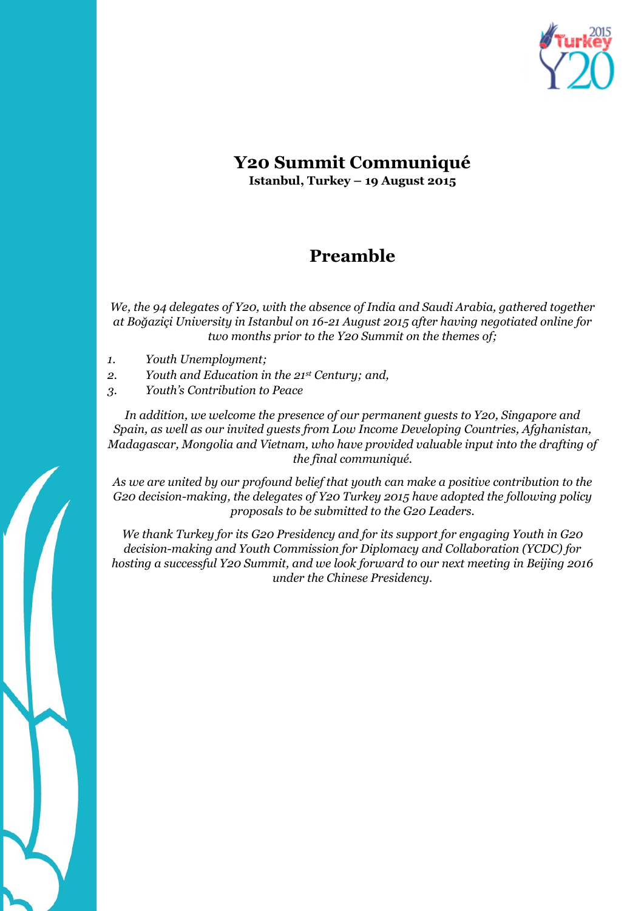

### **Y20 Summit Communiqué Istanbul, Turkey – 19 August 2015**

## **Preamble**

*We, the 94 delegates of Y20, with the absence of India and Saudi Arabia, gathered together at Boğaziçi University in Istanbul on 16-21 August 2015 after having negotiated online for two months prior to the Y20 Summit on the themes of;*

- *1. Youth Unemployment;*
- *2. Youth and Education in the 21st Century; and,*
- *3. Youth's Contribution to Peace*

*In addition, we welcome the presence of our permanent guests to Y20, Singapore and Spain, as well as our invited guests from Low Income Developing Countries, Afghanistan, Madagascar, Mongolia and Vietnam, who have provided valuable input into the drafting of the final communiqué.*

*As we are united by our profound belief that youth can make a positive contribution to the G20 decision-making, the delegates of Y20 Turkey 2015 have adopted the following policy proposals to be submitted to the G20 Leaders.*

*We thank Turkey for its G20 Presidency and for its support for engaging Youth in G20 decision-making and Youth Commission for Diplomacy and Collaboration (YCDC) for hosting a successful Y20 Summit, and we look forward to our next meeting in Beijing 2016 under the Chinese Presidency.*

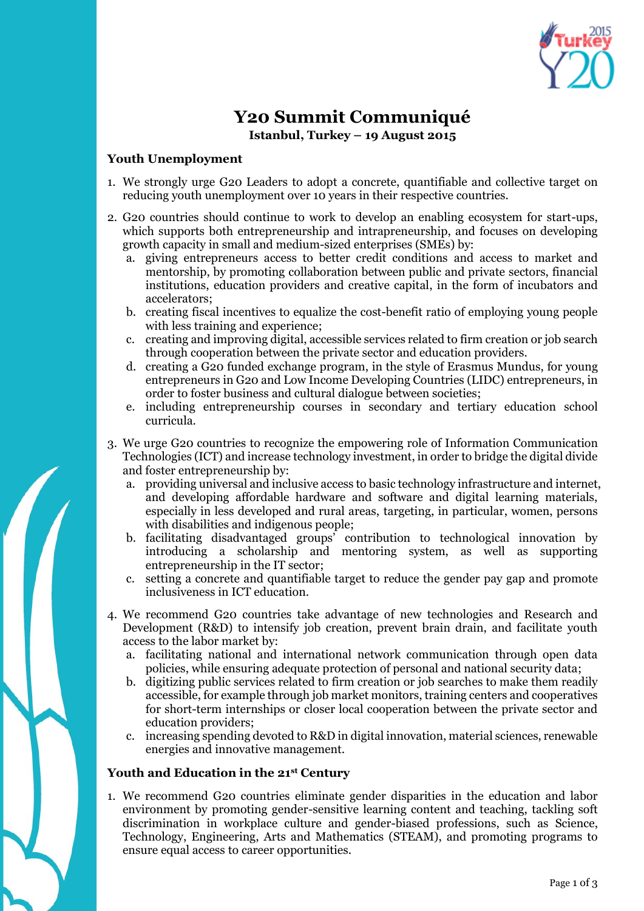

# **Y20 Summit Communiqué**

**Istanbul, Turkey – 19 August 2015** 

#### **Youth Unemployment**

- 1. We strongly urge G20 Leaders to adopt a concrete, quantifiable and collective target on reducing youth unemployment over 10 years in their respective countries.
- 2. G20 countries should continue to work to develop an enabling ecosystem for start-ups, which supports both entrepreneurship and intrapreneurship, and focuses on developing growth capacity in small and medium-sized enterprises (SMEs) by:
	- a. giving entrepreneurs access to better credit conditions and access to market and mentorship, by promoting collaboration between public and private sectors, financial institutions, education providers and creative capital, in the form of incubators and accelerators;
	- b. creating fiscal incentives to equalize the cost-benefit ratio of employing young people with less training and experience;
	- c. creating and improving digital, accessible services related to firm creation or job search through cooperation between the private sector and education providers.
	- d. creating a G20 funded exchange program, in the style of Erasmus Mundus, for young entrepreneurs in G20 and Low Income Developing Countries (LIDC) entrepreneurs, in order to foster business and cultural dialogue between societies;
	- e. including entrepreneurship courses in secondary and tertiary education school curricula.
- 3. We urge G20 countries to recognize the empowering role of Information Communication Technologies (ICT) and increase technology investment, in order to bridge the digital divide and foster entrepreneurship by:
	- a. providing universal and inclusive access to basic technology infrastructure and internet, and developing affordable hardware and software and digital learning materials, especially in less developed and rural areas, targeting, in particular, women, persons with disabilities and indigenous people;
	- b. facilitating disadvantaged groups' contribution to technological innovation by introducing a scholarship and mentoring system, as well as supporting entrepreneurship in the IT sector;
	- c. setting a concrete and quantifiable target to reduce the gender pay gap and promote inclusiveness in ICT education.
- 4. We recommend G20 countries take advantage of new technologies and Research and Development (R&D) to intensify job creation, prevent brain drain, and facilitate youth access to the labor market by:
	- a. facilitating national and international network communication through open data policies, while ensuring adequate protection of personal and national security data;
	- b. digitizing public services related to firm creation or job searches to make them readily accessible, for example through job market monitors, training centers and cooperatives for short-term internships or closer local cooperation between the private sector and education providers;
	- c. increasing spending devoted to R&D in digital innovation, material sciences, renewable energies and innovative management.

#### **Youth and Education in the 21st Century**

1. We recommend G20 countries eliminate gender disparities in the education and labor environment by promoting gender-sensitive learning content and teaching, tackling soft discrimination in workplace culture and gender-biased professions, such as Science, Technology, Engineering, Arts and Mathematics (STEAM), and promoting programs to ensure equal access to career opportunities.

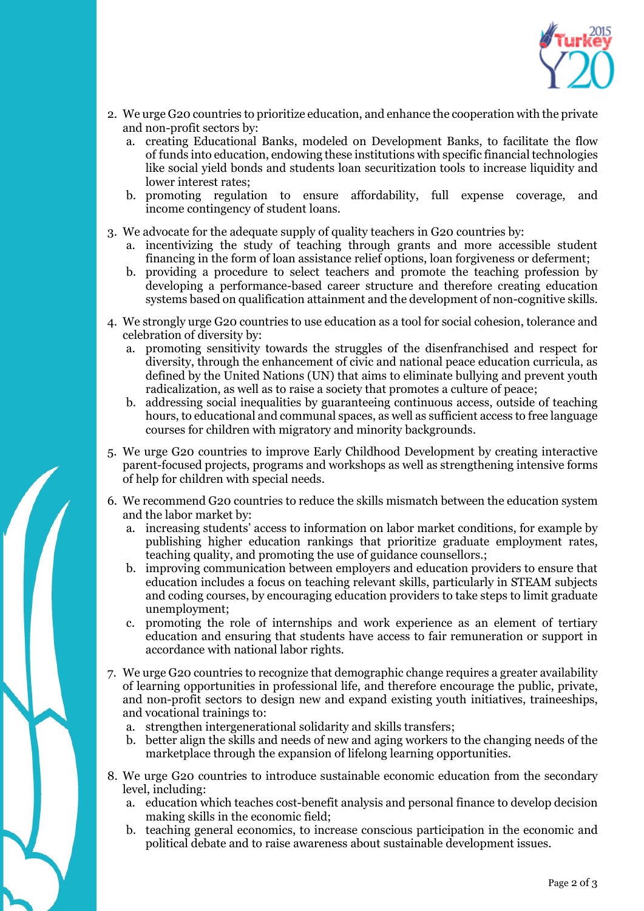

- 2. We urge G20 countries to prioritize education, and enhance the cooperation with the private and non-profit sectors by:
	- a. creating Educational Banks, modeled on Development Banks, to facilitate the flow of funds into education, endowing these institutions with specific financial technologies like social yield bonds and students loan securitization tools to increase liquidity and lower interest rates;
	- b. promoting regulation to ensure affordability, full expense coverage, and income contingency of student loans.
- 3. We advocate for the adequate supply of quality teachers in G20 countries by:
	- a. incentivizing the study of teaching through grants and more accessible student financing in the form of loan assistance relief options, loan forgiveness or deferment;
	- b. providing a procedure to select teachers and promote the teaching profession by developing a performance-based career structure and therefore creating education systems based on qualification attainment and the development of non-cognitive skills.
- 4. We strongly urge G20 countries to use education as a tool for social cohesion, tolerance and celebration of diversity by:
	- a. promoting sensitivity towards the struggles of the disenfranchised and respect for diversity, through the enhancement of civic and national peace education curricula, as defined by the United Nations (UN) that aims to eliminate bullying and prevent youth radicalization, as well as to raise a society that promotes a culture of peace;
	- b. addressing social inequalities by guaranteeing continuous access, outside of teaching hours, to educational and communal spaces, as well as sufficient access to free language courses for children with migratory and minority backgrounds.
- 5. We urge G20 countries to improve Early Childhood Development by creating interactive parent-focused projects, programs and workshops as well as strengthening intensive forms of help for children with special needs.
- 6. We recommend G20 countries to reduce the skills mismatch between the education system and the labor market by:
	- a. increasing students' access to information on labor market conditions, for example by publishing higher education rankings that prioritize graduate employment rates, teaching quality, and promoting the use of guidance counsellors.;
	- b. improving communication between employers and education providers to ensure that education includes a focus on teaching relevant skills, particularly in STEAM subjects and coding courses, by encouraging education providers to take steps to limit graduate unemployment;
	- c. promoting the role of internships and work experience as an element of tertiary education and ensuring that students have access to fair remuneration or support in accordance with national labor rights.
- 7. We urge G20 countries to recognize that demographic change requires a greater availability of learning opportunities in professional life, and therefore encourage the public, private, and non-profit sectors to design new and expand existing youth initiatives, traineeships, and vocational trainings to:
	- a. strengthen intergenerational solidarity and skills transfers;
	- b. better align the skills and needs of new and aging workers to the changing needs of the marketplace through the expansion of lifelong learning opportunities.
- 8. We urge G20 countries to introduce sustainable economic education from the secondary level, including:
	- a. education which teaches cost-benefit analysis and personal finance to develop decision making skills in the economic field;
	- b. teaching general economics, to increase conscious participation in the economic and political debate and to raise awareness about sustainable development issues.